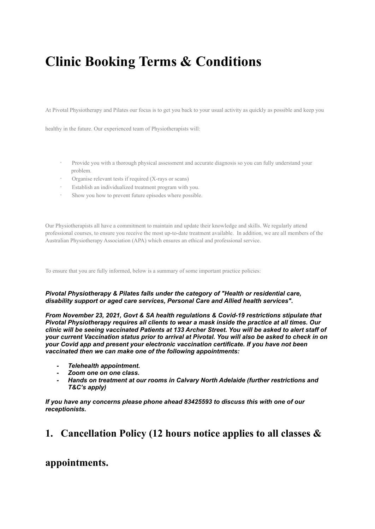# **Clinic Booking Terms & Conditions**

At Pivotal Physiotherapy and Pilates our focus is to get you back to your usual activity as quickly as possible and keep you

healthy in the future. Our experienced team of Physiotherapists will:

- · Provide you with a thorough physical assessment and accurate diagnosis so you can fully understand your problem.
- Organise relevant tests if required (X-rays or scans)
- Establish an individualized treatment program with you.
- · Show you how to prevent future episodes where possible.

Our Physiotherapists all have a commitment to maintain and update their knowledge and skills. We regularly attend professional courses, to ensure you receive the most up-to-date treatment available. In addition, we are all members of the Australian Physiotherapy Association (APA) which ensures an ethical and professional service.

To ensure that you are fully informed, below is a summary of some important practice policies:

#### *Pivotal Physiotherapy & Pilates falls under the category of "Health or residential care, disability support or aged care services, Personal Care and Allied health services".*

*From November 23, 2021, Govt & SA health regulations & Covid-19 restrictions stipulate that Pivotal Physiotherapy requires all clients to wear a mask inside the practice at all times. Our* clinic will be seeing vaccinated Patients at 133 Archer Street. You will be asked to alert staff of *your current Vaccination status prior to arrival at Pivotal. You will also be asked to check in on your Covid app and present your electronic vaccination certificate. If you have not been vaccinated then we can make one of the following appointments:*

- *- Telehealth appointment.*
- *- Zoom one on one class.*
- *- Hands on treatment at our rooms in Calvary North Adelaide (further restrictions and T&C's apply)*

*If you have any concerns please phone ahead 83425593 to discuss this with one of our receptionists.*

# **1. Cancellation Policy (12 hours notice applies to all classes &**

### **appointments.**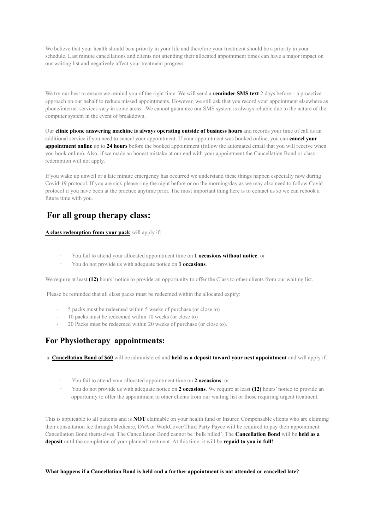We believe that your health should be a priority in your life and therefore your treatment should be a priority in your schedule. Last minute cancellations and clients not attending their allocated appointment times can have a major impact on our waiting list and negatively affect your treatment progress.

We try our best to ensure we remind you of the right time. We will send a **reminder SMS text** 2 days before – a proactive approach on our behalf to reduce missed appointments. However, we still ask that you record your appointment elsewhere as phone/internet services vary in some areas. We cannot guarantee our SMS system is always reliable due to the nature of the computer system in the event of breakdown.

Our **clinic phone answering machine is always operating outside of business hours** and records your time of call as an additional service if you need to cancel your appointment. If your appointment was booked online, you can **cancel your appointment online** up to 24 hours before the booked appointment (follow the automated email that you will receive when you book online). Also, if we made an honest mistake at our end with your appointment the Cancellation Bond or class redemption will not apply.

If you wake up unwell or a late minute emergency has occurred we understand these things happen especially now during Covid-19 protocol. If you are sick please ring the night before or on the morning/day as we may also need to follow Covid protocol if you have been at the practice anytime prior. The most important thing here is to contact us so we can rebook a future time with you.

### **For all group therapy class:**

**A class redemption from your pack** will apply if:

- · You fail to attend your allocated appointment time on **1 occasions without notice**: or
- · You do not provide us with adequate notice on **1 occasions**.

We require at least **(12)** hours' notice to provide an opportunity to offer the Class to other clients from our waiting list.

Please be reminded that all class packs must be redeemed within the allocated expiry:

- 5 packs must be redeemed within 5 weeks of purchase (or close to)
- 10 packs must be redeemed within 10 weeks (or close to)
- 20 Packs must be redeemed within 20 weeks of purchase (or close to).

#### **For Physiotherapy appointments:**

a **Cancellation Bond of \$60** will be administered and **held as a deposit toward your next appointment** and will apply if:

- · You fail to attend your allocated appointment time on **2 occasions**: or
- · You do not provide us with adequate notice on **2 occasions**. We require at least **(12)** hours' notice to provide an opportunity to offer the appointment to other clients from our waiting list or those requiring urgent treatment.

This is applicable to all patients and is **NOT** claimable on your health fund or Insurer. Compensable clients who are claiming their consultation fee through Medicare, DVA or WorkCover/Third Party Payee will be required to pay their appointment Cancellation Bond themselves. The Cancellation Bond cannot be 'bulk billed'. The **Cancellation Bond** will be **held as a deposit** until the completion of your planned treatment. At this time, it will be **repaid to you in full!**

**What happens if a Cancellation Bond is held and a further appointment is not attended or cancelled late?**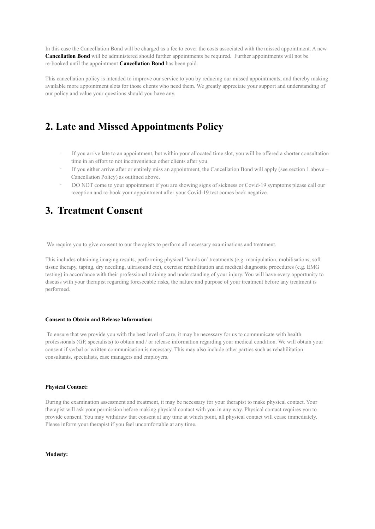In this case the Cancellation Bond will be charged as a fee to cover the costs associated with the missed appointment. A new **Cancellation Bond** will be administered should further appointments be required. Further appointments will not be re-booked until the appointment **Cancellation Bond** has been paid.

This cancellation policy is intended to improve our service to you by reducing our missed appointments, and thereby making available more appointment slots for those clients who need them. We greatly appreciate your support and understanding of our policy and value your questions should you have any.

# **2. Late and Missed Appointments Policy**

- If you arrive late to an appointment, but within your allocated time slot, you will be offered a shorter consultation time in an effort to not inconvenience other clients after you.
- If you either arrive after or entirely miss an appointment, the Cancellation Bond will apply (see section 1 above Cancellation Policy) as outlined above.
- · DO NOT come to your appointment if you are showing signs of sickness or Covid-19 symptoms please call our reception and re-book your appointment after your Covid-19 test comes back negative.

# **3. Treatment Consent**

We require you to give consent to our therapists to perform all necessary examinations and treatment.

This includes obtaining imaging results, performing physical 'hands on' treatments (e.g. manipulation, mobilisations, soft tissue therapy, taping, dry needling, ultrasound etc), exercise rehabilitation and medical diagnostic procedures (e.g. EMG testing) in accordance with their professional training and understanding of your injury. You will have every opportunity to discuss with your therapist regarding foreseeable risks, the nature and purpose of your treatment before any treatment is performed.

#### **Consent to Obtain and Release Information:**

To ensure that we provide you with the best level of care, it may be necessary for us to communicate with health professionals (GP, specialists) to obtain and / or release information regarding your medical condition. We will obtain your consent if verbal or written communication is necessary. This may also include other parties such as rehabilitation consultants, specialists, case managers and employers.

#### **Physical Contact:**

During the examination assessment and treatment, it may be necessary for your therapist to make physical contact. Your therapist will ask your permission before making physical contact with you in any way. Physical contact requires you to provide consent. You may withdraw that consent at any time at which point, all physical contact will cease immediately. Please inform your therapist if you feel uncomfortable at any time.

**Modesty:**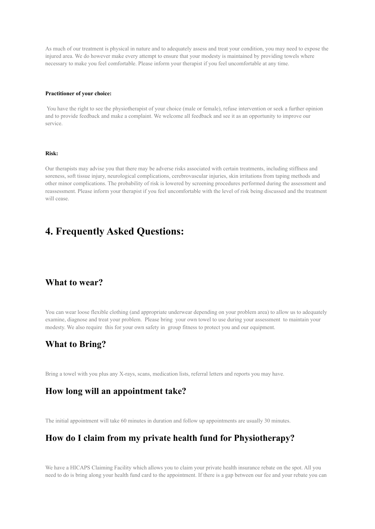As much of our treatment is physical in nature and to adequately assess and treat your condition, you may need to expose the injured area. We do however make every attempt to ensure that your modesty is maintained by providing towels where necessary to make you feel comfortable. Please inform your therapist if you feel uncomfortable at any time.

#### **Practitioner of your choice:**

You have the right to see the physiotherapist of your choice (male or female), refuse intervention or seek a further opinion and to provide feedback and make a complaint. We welcome all feedback and see it as an opportunity to improve our service.

#### **Risk:**

Our therapists may advise you that there may be adverse risks associated with certain treatments, including stiffness and soreness, soft tissue injury, neurological complications, cerebrovascular injuries, skin irritations from taping methods and other minor complications. The probability of risk is lowered by screening procedures performed during the assessment and reassessment. Please inform your therapist if you feel uncomfortable with the level of risk being discussed and the treatment will cease.

# **4. Frequently Asked Questions:**

#### **What to wear?**

You can wear loose flexible clothing (and appropriate underwear depending on your problem area) to allow us to adequately examine, diagnose and treat your problem. Please bring your own towel to use during your assessment to maintain your modesty. We also require this for your own safety in group fitness to protect you and our equipment.

#### **What to Bring?**

Bring a towel with you plus any X-rays, scans, medication lists, referral letters and reports you may have.

#### **How long will an appointment take?**

The initial appointment will take 60 minutes in duration and follow up appointments are usually 30 minutes.

### **How do I claim from my private health fund for Physiotherapy?**

We have a HICAPS Claiming Facility which allows you to claim your private health insurance rebate on the spot. All you need to do is bring along your health fund card to the appointment. If there is a gap between our fee and your rebate you can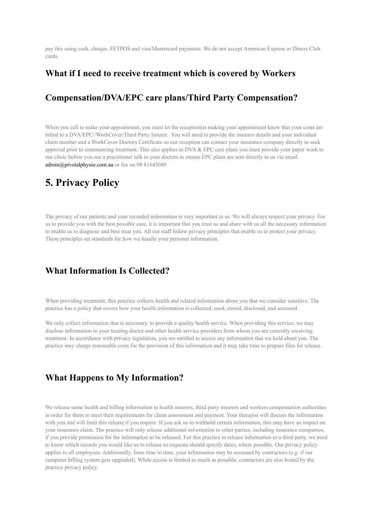pay this using cash, cheque, EFTPOS and visa/Mastercard payments. We do not accept American Express or Diners Club cards.

#### **What if I need to receive treatment which is covered by Workers**

### **Compensation/DVA/EPC care plans/Third Party Compensation?**

When you call to make your appointment, you must let the receptionist making your appointment know that your costs are billed to a DVA/EPC//WorkCover/Third Party Insurer. You will need to provide the insurers details and your individual claim number and a WorkCover Doctors Certificate so our reception can contact your insurance company directly to seek approval prior to commencing treatment. This also applies to DVA  $&$  EPC care plans you must provide your paper work to our clinic before you see a practitioner talk to your doctors to ensure EPC plans are sent directly to us via email admin@pivotalphysio.com.au or fax on 08 81645080

# **5. Privacy Policy**

The privacy of our patients and your recorded information is very important to us. We will always respect your privacy. For us to provide you with the best possible care, it is important that you trust us and share with us all the necessary information to enable us to diagnose and best treat you. All our staff follow privacy principles that enable us to protect your privacy. These principles set standards for how we handle your personal information.

### **What Information Is Collected?**

When providing treatment, this practice collects health and related information about you that we consider sensitive. The practice has a policy that covers how your health information is collected, used, stored, disclosed, and accessed.

We only collect information that is necessary, to provide a quality health service. When providing this service, we may disclose information to your treating doctor and other health service providers from whom you are currently receiving treatment. In accordance with privacy legislation, you are entitled to access any information that we hold about you. The practice may charge reasonable costs for the provision of this information and it may take time to prepare files for release.

### **What Happens to My Information?**

We release some health and billing information to health insurers, third party insurers and workers compensation authorities in order for them to meet their requirements for claim assessment and payment. Your therapist will discuss the information with you and will limit this release if you require. If you ask us to withhold certain information, this may have an impact on your insurance claim. The practice will only release additional information to other parties, including insurance companies, if you provide permission for the information to be released. For this practice to release information to a third party, we need to know which records you would like us to release so requests should specify dates, where possible. Our privacy policy applies to all employees. Additionally, from time to time, your information may be accessed by contractors (e.g. if our computer billing system gets upgraded). While access is limited as much as possible, contractors are also bound by the practice privacy policy.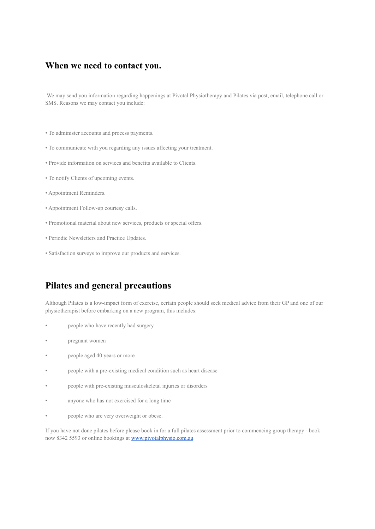#### **When we need to contact you.**

We may send you information regarding happenings at Pivotal Physiotherapy and Pilates via post, email, telephone call or SMS. Reasons we may contact you include:

- To administer accounts and process payments.
- To communicate with you regarding any issues affecting your treatment.
- Provide information on services and benefits available to Clients.
- To notify Clients of upcoming events.
- Appointment Reminders.
- Appointment Follow-up courtesy calls.
- Promotional material about new services, products or special offers.
- Periodic Newsletters and Practice Updates.
- Satisfaction surveys to improve our products and services.

### **Pilates and general precautions**

Although Pilates is a low-impact form of exercise, certain people should seek medical advice from their GP and one of our physiotherapist before embarking on a new program, this includes:

- people who have recently had surgery
- pregnant women
- people aged 40 years or more
- people with a pre-existing medical condition such as heart disease
- people with pre-existing musculoskeletal injuries or disorders
- anyone who has not exercised for a long time
- people who are very overweight or obese.

If you have not done pilates before please book in for a full pilates assessment prior to commencing group therapy - book now 8342 5593 or online bookings at [www.pivotalphysio.com.au](http://www.pivotalphysio.com.au)